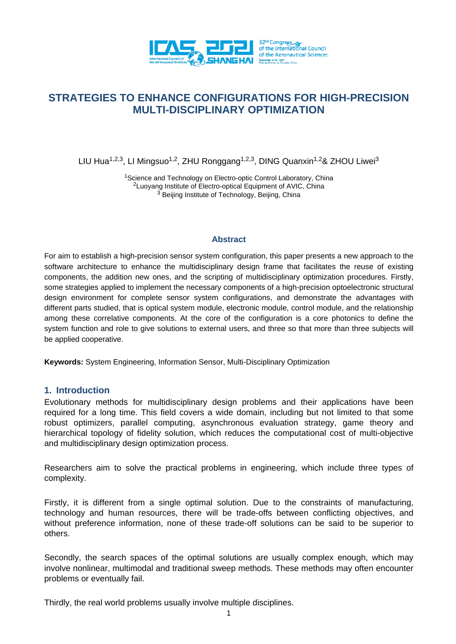

# **STRATEGIES TO ENHANCE CONFIGURATIONS FOR HIGH-PRECISION MULTI-DISCIPLINARY OPTIMIZATION**

LIU Hua<sup>1,2,3</sup>, LI Mingsuo<sup>1,2</sup>, ZHU Ronggang<sup>1,2,3</sup>, DING Quanxin<sup>1,2</sup>& ZHOU Liwei<sup>3</sup>

<sup>1</sup>Science and Technology on Electro-optic Control Laboratory, China <sup>2</sup>Luoyang Institute of Electro-optical Equipment of AVIC, China  $3\overline{)}$  Beijing Institute of Technology, Beijing, China

### **Abstract**

For aim to establish a high-precision sensor system configuration, this paper presents a new approach to the software architecture to enhance the multidisciplinary design frame that facilitates the reuse of existing components, the addition new ones, and the scripting of multidisciplinary optimization procedures. Firstly, some strategies applied to implement the necessary components of a high-precision optoelectronic structural design environment for complete sensor system configurations, and demonstrate the advantages with different parts studied, that is optical system module, electronic module, control module, and the relationship among these correlative components. At the core of the configuration is a core photonics to define the system function and role to give solutions to external users, and three so that more than three subjects will be applied cooperative.

**Keywords:** System Engineering, Information Sensor, Multi-Disciplinary Optimization

#### **1. Introduction**

Evolutionary methods for multidisciplinary design problems and their applications have been required for a long time. This field covers a wide domain, including but not limited to that some robust optimizers, parallel computing, asynchronous evaluation strategy, game theory and hierarchical topology of fidelity solution, which reduces the computational cost of multi-objective and multidisciplinary design optimization process.

Researchers aim to solve the practical problems in engineering, which include three types of complexity.

Firstly, it is different from a single optimal solution. Due to the constraints of manufacturing, technology and human resources, there will be trade-offs between conflicting objectives, and without preference information, none of these trade-off solutions can be said to be superior to others.

Secondly, the search spaces of the optimal solutions are usually complex enough, which may involve nonlinear, multimodal and traditional sweep methods. These methods may often encounter problems or eventually fail.

Thirdly, the real world problems usually involve multiple disciplines.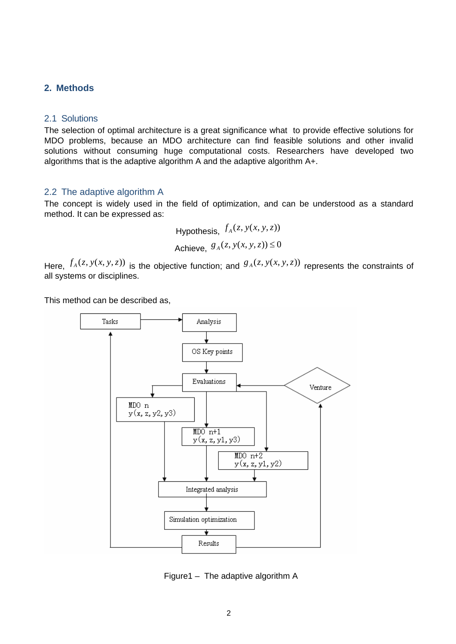## **2. Methods**

#### 2.1 Solutions

The selection of optimal architecture is a great significance what to provide effective solutions for MDO problems, because an MDO architecture can find feasible solutions and other invalid solutions without consuming huge computational costs. Researchers have developed two algorithms that is the adaptive algorithm A and the adaptive algorithm A+.

#### 2.2 The adaptive algorithm A

The concept is widely used in the field of optimization, and can be understood as a standard method. It can be expressed as:

Hypothesis, 
$$
f_A(z, y(x, y, z))
$$
  
Achieve,  $g_A(z, y(x, y, z)) \le 0$ 

Here,  $f_A(z, y(x, y, z))$  is the objective function; and  $g_A(z, y(x, y, z))$  represents the constraints of all systems or disciplines.

This method can be described as,



Figure1 – The adaptive algorithm A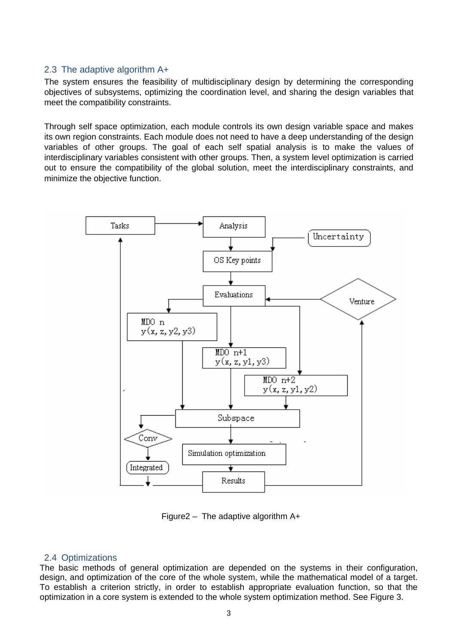#### 2.3 The adaptive algorithm A+

The system ensures the feasibility of multidisciplinary design by determining the corresponding objectives of subsystems, optimizing the coordination level, and sharing the design variables that meet the compatibility constraints.

Through self space optimization, each module controls its own design variable space and makes its own region constraints. Each module does not need to have a deep understanding of the design variables of other groups. The goal of each self spatial analysis is to make the values of interdisciplinary variables consistent with other groups. Then, a system level optimization is carried out to ensure the compatibility of the global solution, meet the interdisciplinary constraints, and minimize the objective function.



Figure2 – The adaptive algorithm  $A+$ 

## 2.4 Optimizations

The basic methods of general optimization are depended on the systems in their configuration, design, and optimization of the core of the whole system, while the mathematical model of a target. To establish a criterion strictly, in order to establish appropriate evaluation function, so that the optimization in a core system is extended to the whole system optimization method. See Figure 3.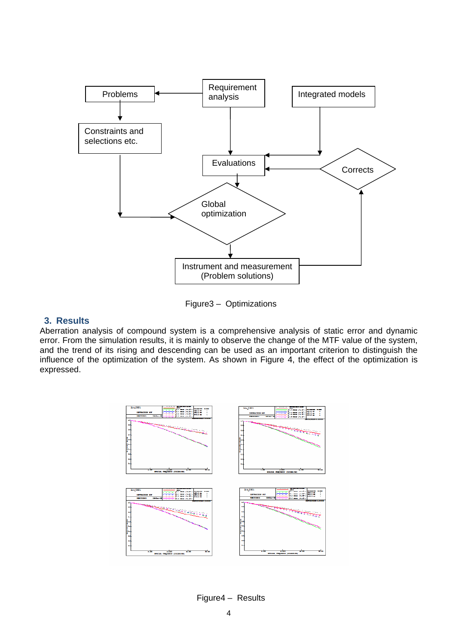

Figure3 – Optimizations

#### **3. Results**

Aberration analysis of compound system is a comprehensive analysis of static error and dynamic error. From the simulation results, it is mainly to observe the change of the MTF value of the system, and the trend of its rising and descending can be used as an important criterion to distinguish the influence of the optimization of the system. As shown in Figure 4, the effect of the optimization is expressed.



Figure4 – Results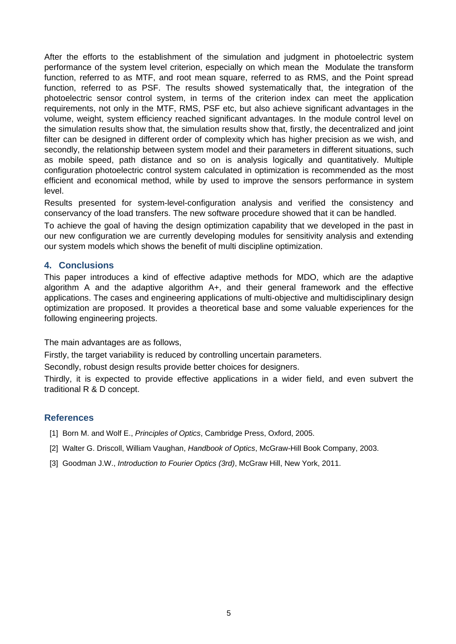After the efforts to the establishment of the simulation and judgment in photoelectric system performance of the system level criterion, especially on which mean the Modulate the transform function, referred to as MTF, and root mean square, referred to as RMS, and the Point spread function, referred to as PSF. The results showed systematically that, the integration of the photoelectric sensor control system, in terms of the criterion index can meet the application requirements, not only in the MTF, RMS, PSF etc, but also achieve significant advantages in the volume, weight, system efficiency reached significant advantages. In the module control level on the simulation results show that, the simulation results show that, firstly, the decentralized and joint filter can be designed in different order of complexity which has higher precision as we wish, and secondly, the relationship between system model and their parameters in different situations, such as mobile speed, path distance and so on is analysis logically and quantitatively. Multiple configuration photoelectric control system calculated in optimization is recommended as the most efficient and economical method, while by used to improve the sensors performance in system level.

Results presented for system-level-configuration analysis and verified the consistency and conservancy of the load transfers. The new software procedure showed that it can be handled.

To achieve the goal of having the design optimization capability that we developed in the past in our new configuration we are currently developing modules for sensitivity analysis and extending our system models which shows the benefit of multi discipline optimization.

#### **4. Conclusions**

This paper introduces a kind of effective adaptive methods for MDO, which are the adaptive algorithm A and the adaptive algorithm A+, and their general framework and the effective applications. The cases and engineering applications of multi-objective and multidisciplinary design optimization are proposed. It provides a theoretical base and some valuable experiences for the following engineering projects.

The main advantages are as follows,

Firstly, the target variability is reduced by controlling uncertain parameters.

Secondly, robust design results provide better choices for designers.

Thirdly, it is expected to provide effective applications in a wider field, and even subvert the traditional R & D concept.

#### **References**

- [1] Born M. and Wolf E., *Principles of Optics*, Cambridge Press, Oxford, 2005.
- [2] Walter G. Driscoll, William Vaughan, *Handbook of Optics*, McGraw-Hill Book Company, 2003.
- [3] Goodman J.W., *Introduction to Fourier Optics (3rd)*, McGraw Hill, New York, 2011.